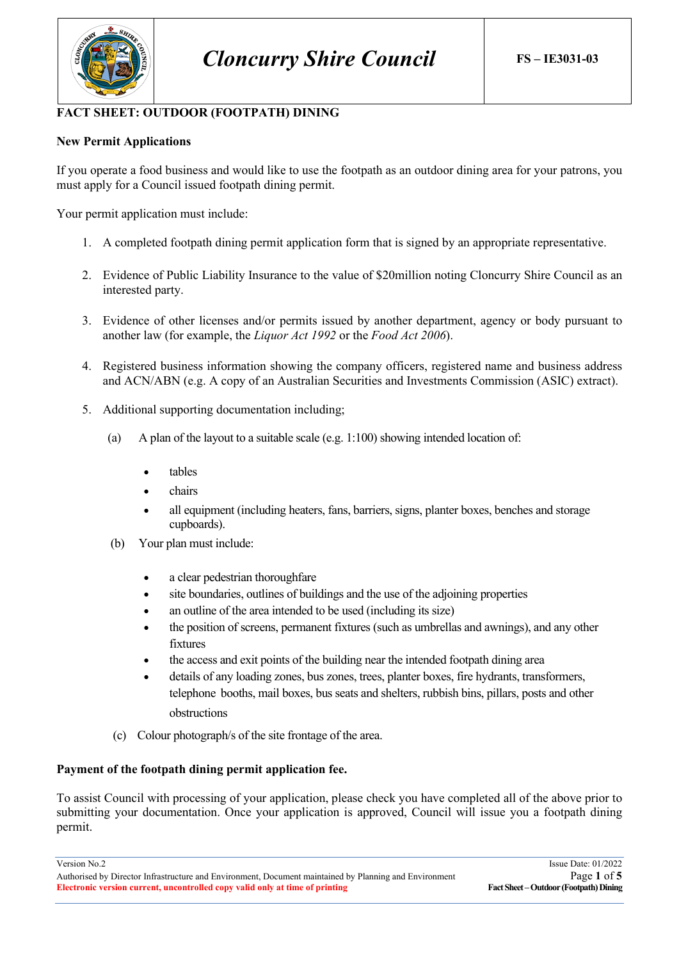

## **FACT SHEET: OUTDOOR (FOOTPATH) DINING**

## **New Permit Applications**

If you operate a food business and would like to use the footpath as an outdoor dining area for your patrons, you must apply for a Council issued footpath dining permit.

Your permit application must include:

- 1. A completed footpath dining permit application form that is signed by an appropriate representative.
- 2. Evidence of Public Liability Insurance to the value of \$20million noting Cloncurry Shire Council as an interested party.
- 3. Evidence of other licenses and/or permits issued by another department, agency or body pursuant to another law (for example, the *Liquor Act 1992* or the *Food Act 2006*).
- 4. Registered business information showing the company officers, registered name and business address and ACN/ABN (e.g. A copy of an Australian Securities and Investments Commission (ASIC) extract).
- 5. Additional supporting documentation including;
	- (a) A plan of the layout to a suitable scale (e.g. 1:100) showing intended location of:
		- tables
		- chairs
		- all equipment (including heaters, fans, barriers, signs, planter boxes, benches and storage cupboards).
	- (b) Your plan must include:
		- a clear pedestrian thoroughfare
		- site boundaries, outlines of buildings and the use of the adjoining properties
		- an outline of the area intended to be used (including its size)
		- the position of screens, permanent fixtures (such as umbrellas and awnings), and any other fixtures
		- the access and exit points of the building near the intended footpath dining area
		- details of any loading zones, bus zones, trees, planter boxes, fire hydrants, transformers, telephone booths, mail boxes, bus seats and shelters, rubbish bins, pillars, posts and other obstructions
	- (c) Colour photograph/s of the site frontage of the area.

#### **Payment of the footpath dining permit application fee.**

To assist Council with processing of your application, please check you have completed all of the above prior to submitting your documentation. Once your application is approved, Council will issue you a footpath dining permit.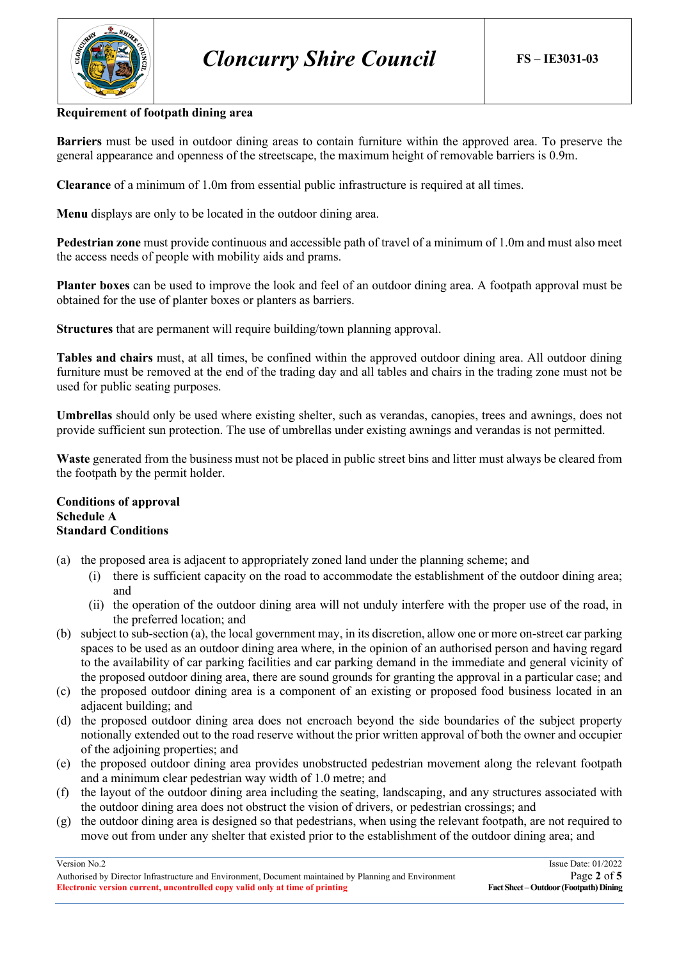

#### **Requirement of footpath dining area**

**Barriers** must be used in outdoor dining areas to contain furniture within the approved area. To preserve the general appearance and openness of the streetscape, the maximum height of removable barriers is 0.9m.

**Clearance** of a minimum of 1.0m from essential public infrastructure is required at all times.

**Menu** displays are only to be located in the outdoor dining area.

**Pedestrian zone** must provide continuous and accessible path of travel of a minimum of 1.0m and must also meet the access needs of people with mobility aids and prams.

**Planter boxes** can be used to improve the look and feel of an outdoor dining area. A footpath approval must be obtained for the use of planter boxes or planters as barriers.

**Structures** that are permanent will require building/town planning approval.

**Tables and chairs** must, at all times, be confined within the approved outdoor dining area. All outdoor dining furniture must be removed at the end of the trading day and all tables and chairs in the trading zone must not be used for public seating purposes.

**Umbrellas** should only be used where existing shelter, such as verandas, canopies, trees and awnings, does not provide sufficient sun protection. The use of umbrellas under existing awnings and verandas is not permitted.

**Waste** generated from the business must not be placed in public street bins and litter must always be cleared from the footpath by the permit holder.

### **Conditions of approval Schedule A Standard Conditions**

- (a) the proposed area is adjacent to appropriately zoned land under the planning scheme; and
	- (i) there is sufficient capacity on the road to accommodate the establishment of the outdoor dining area; and
	- (ii) the operation of the outdoor dining area will not unduly interfere with the proper use of the road, in the preferred location; and
- (b) subject to sub-section (a), the local government may, in its discretion, allow one or more on-street car parking spaces to be used as an outdoor dining area where, in the opinion of an authorised person and having regard to the availability of car parking facilities and car parking demand in the immediate and general vicinity of the proposed outdoor dining area, there are sound grounds for granting the approval in a particular case; and
- (c) the proposed outdoor dining area is a component of an existing or proposed food business located in an adjacent building; and
- (d) the proposed outdoor dining area does not encroach beyond the side boundaries of the subject property notionally extended out to the road reserve without the prior written approval of both the owner and occupier of the adjoining properties; and
- (e) the proposed outdoor dining area provides unobstructed pedestrian movement along the relevant footpath and a minimum clear pedestrian way width of 1.0 metre; and
- (f) the layout of the outdoor dining area including the seating, landscaping, and any structures associated with the outdoor dining area does not obstruct the vision of drivers, or pedestrian crossings; and
- (g) the outdoor dining area is designed so that pedestrians, when using the relevant footpath, are not required to move out from under any shelter that existed prior to the establishment of the outdoor dining area; and

Authorised by Director Infrastructure and Environment, Document maintained by Planning and Environment<br> **Electronic version current, uncontrolled copy valid only at time of printing** Fact Sheet – Outdoor (Footpath) Dining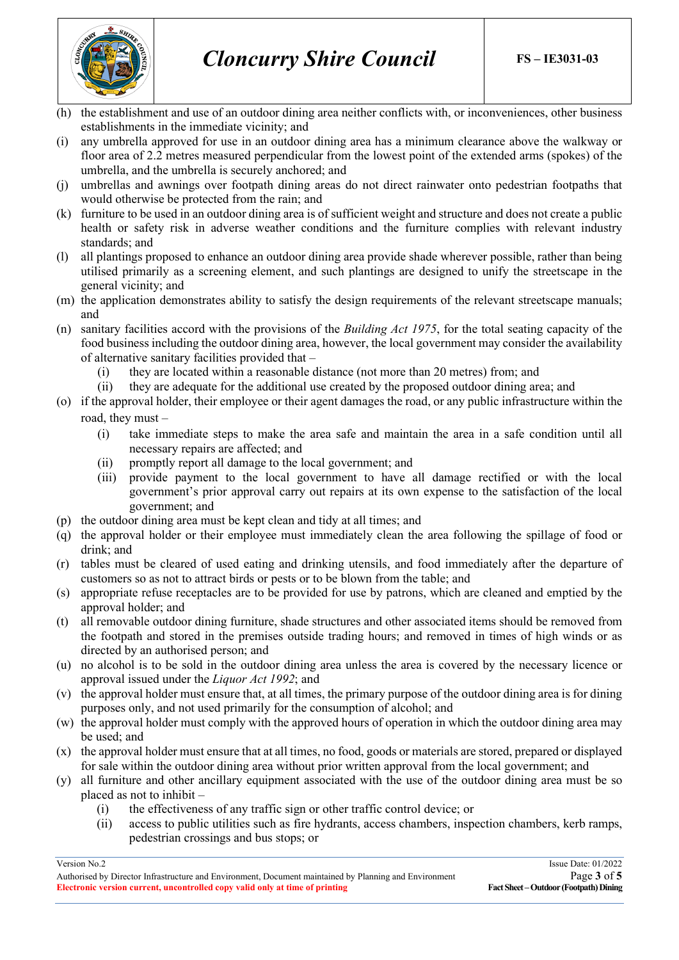

- (h) the establishment and use of an outdoor dining area neither conflicts with, or inconveniences, other business establishments in the immediate vicinity; and
- (i) any umbrella approved for use in an outdoor dining area has a minimum clearance above the walkway or floor area of 2.2 metres measured perpendicular from the lowest point of the extended arms (spokes) of the umbrella, and the umbrella is securely anchored; and
- (j) umbrellas and awnings over footpath dining areas do not direct rainwater onto pedestrian footpaths that would otherwise be protected from the rain; and
- (k) furniture to be used in an outdoor dining area is of sufficient weight and structure and does not create a public health or safety risk in adverse weather conditions and the furniture complies with relevant industry standards; and
- (l) all plantings proposed to enhance an outdoor dining area provide shade wherever possible, rather than being utilised primarily as a screening element, and such plantings are designed to unify the streetscape in the general vicinity; and
- (m) the application demonstrates ability to satisfy the design requirements of the relevant streetscape manuals; and
- (n) sanitary facilities accord with the provisions of the *Building Act 1975*, for the total seating capacity of the food business including the outdoor dining area, however, the local government may consider the availability of alternative sanitary facilities provided that –
	- (i) they are located within a reasonable distance (not more than 20 metres) from; and
	- (ii) they are adequate for the additional use created by the proposed outdoor dining area; and
- (o) if the approval holder, their employee or their agent damages the road, or any public infrastructure within the road, they must –
	- (i) take immediate steps to make the area safe and maintain the area in a safe condition until all necessary repairs are affected; and
	- (ii) promptly report all damage to the local government; and
	- (iii) provide payment to the local government to have all damage rectified or with the local government's prior approval carry out repairs at its own expense to the satisfaction of the local government; and
- (p) the outdoor dining area must be kept clean and tidy at all times; and
- (q) the approval holder or their employee must immediately clean the area following the spillage of food or drink; and
- (r) tables must be cleared of used eating and drinking utensils, and food immediately after the departure of customers so as not to attract birds or pests or to be blown from the table; and
- (s) appropriate refuse receptacles are to be provided for use by patrons, which are cleaned and emptied by the approval holder; and
- (t) all removable outdoor dining furniture, shade structures and other associated items should be removed from the footpath and stored in the premises outside trading hours; and removed in times of high winds or as directed by an authorised person; and
- (u) no alcohol is to be sold in the outdoor dining area unless the area is covered by the necessary licence or approval issued under the *Liquor Act 1992*; and
- (v) the approval holder must ensure that, at all times, the primary purpose of the outdoor dining area is for dining purposes only, and not used primarily for the consumption of alcohol; and
- (w) the approval holder must comply with the approved hours of operation in which the outdoor dining area may be used; and
- (x) the approval holder must ensure that at all times, no food, goods or materials are stored, prepared or displayed for sale within the outdoor dining area without prior written approval from the local government; and
- (y) all furniture and other ancillary equipment associated with the use of the outdoor dining area must be so placed as not to inhibit –
	- (i) the effectiveness of any traffic sign or other traffic control device; or
	- (ii) access to public utilities such as fire hydrants, access chambers, inspection chambers, kerb ramps, pedestrian crossings and bus stops; or

Authorised by Director Infrastructure and Environment, Document maintained by Planning and Environment<br> **Electronic version current, uncontrolled copy valid only at time of printing** Fact Sheet – Outdoor (Footpath) Dining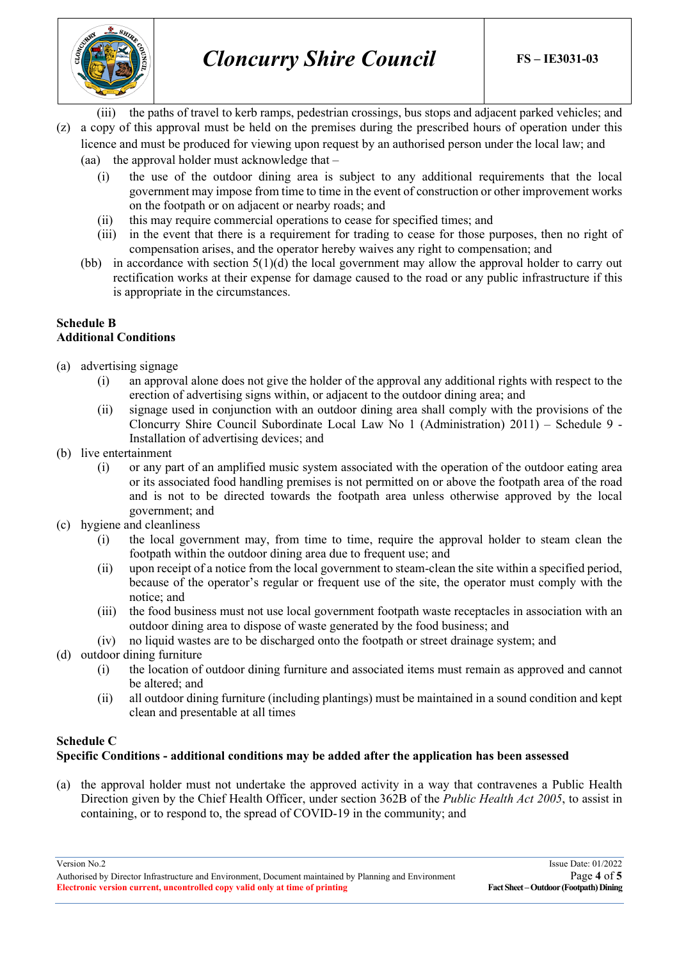

(iii) the paths of travel to kerb ramps, pedestrian crossings, bus stops and adjacent parked vehicles; and (z) a copy of this approval must be held on the premises during the prescribed hours of operation under this

licence and must be produced for viewing upon request by an authorised person under the local law; and (aa) the approval holder must acknowledge that –

- (i) the use of the outdoor dining area is subject to any additional requirements that the local government may impose from time to time in the event of construction or other improvement works on the footpath or on adjacent or nearby roads; and
- (ii) this may require commercial operations to cease for specified times; and
- (iii) in the event that there is a requirement for trading to cease for those purposes, then no right of compensation arises, and the operator hereby waives any right to compensation; and
- (bb) in accordance with section 5(1)(d) the local government may allow the approval holder to carry out rectification works at their expense for damage caused to the road or any public infrastructure if this is appropriate in the circumstances.

### **Schedule B Additional Conditions**

- (a) advertising signage
	- (i) an approval alone does not give the holder of the approval any additional rights with respect to the erection of advertising signs within, or adjacent to the outdoor dining area; and
	- (ii) signage used in conjunction with an outdoor dining area shall comply with the provisions of the Cloncurry Shire Council Subordinate Local Law No 1 (Administration) 2011) – Schedule 9 - Installation of advertising devices; and
- (b) live entertainment
	- (i) or any part of an amplified music system associated with the operation of the outdoor eating area or its associated food handling premises is not permitted on or above the footpath area of the road and is not to be directed towards the footpath area unless otherwise approved by the local government; and
- (c) hygiene and cleanliness
	- (i) the local government may, from time to time, require the approval holder to steam clean the footpath within the outdoor dining area due to frequent use; and
	- (ii) upon receipt of a notice from the local government to steam-clean the site within a specified period, because of the operator's regular or frequent use of the site, the operator must comply with the notice; and
	- (iii) the food business must not use local government footpath waste receptacles in association with an outdoor dining area to dispose of waste generated by the food business; and

#### (iv) no liquid wastes are to be discharged onto the footpath or street drainage system; and

- (d) outdoor dining furniture
	- (i) the location of outdoor dining furniture and associated items must remain as approved and cannot be altered; and
	- (ii) all outdoor dining furniture (including plantings) must be maintained in a sound condition and kept clean and presentable at all times

# **Schedule C**

# **Specific Conditions - additional conditions may be added after the application has been assessed**

(a) the approval holder must not undertake the approved activity in a way that contravenes a Public Health Direction given by the Chief Health Officer, under section 362B of the *Public Health Act 2005*, to assist in containing, or to respond to, the spread of COVID-19 in the community; and

Authorised by Director Infrastructure and Environment, Document maintained by Planning and Environment<br> **Electronic version current, uncontrolled copy valid only at time of printing** Fact Sheet – Outdoor (Footpath) Dining